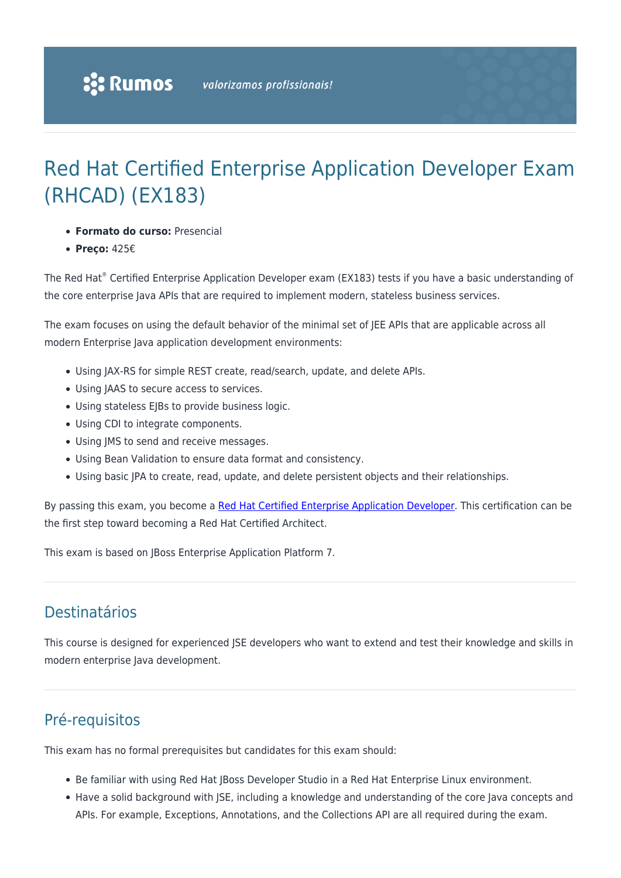# Red Hat Certified Enterprise Application Developer Exam (RHCAD) (EX183)

- **Formato do curso:** Presencial
- **Preço:** 425€

The Red Hat® Certified Enterprise Application Developer exam (EX183) tests if you have a basic understanding of the core enterprise Java APIs that are required to implement modern, stateless business services.

The exam focuses on using the default behavior of the minimal set of JEE APIs that are applicable across all modern Enterprise Java application development environments:

- Using JAX-RS for simple REST create, read/search, update, and delete APIs.
- Using JAAS to secure access to services.
- Using stateless EJBs to provide business logic.
- Using CDI to integrate components.
- Using JMS to send and receive messages.
- Using Bean Validation to ensure data format and consistency.
- Using basic JPA to create, read, update, and delete persistent objects and their relationships.

By passing this exam, you become a [Red Hat Certified Enterprise Application Developer.](https://www.redhat.com/en/services/certification/red-hat-certified-enterprise-application-developer) This certification can be the first step toward becoming a Red Hat Certified Architect.

This exam is based on JBoss Enterprise Application Platform 7.

### Destinatários

This course is designed for experienced JSE developers who want to extend and test their knowledge and skills in modern enterprise Java development.

## Pré-requisitos

This exam has no formal prerequisites but candidates for this exam should:

- Be familiar with using Red Hat JBoss Developer Studio in a Red Hat Enterprise Linux environment.
- Have a solid background with JSE, including a knowledge and understanding of the core Java concepts and APIs. For example, Exceptions, Annotations, and the Collections API are all required during the exam.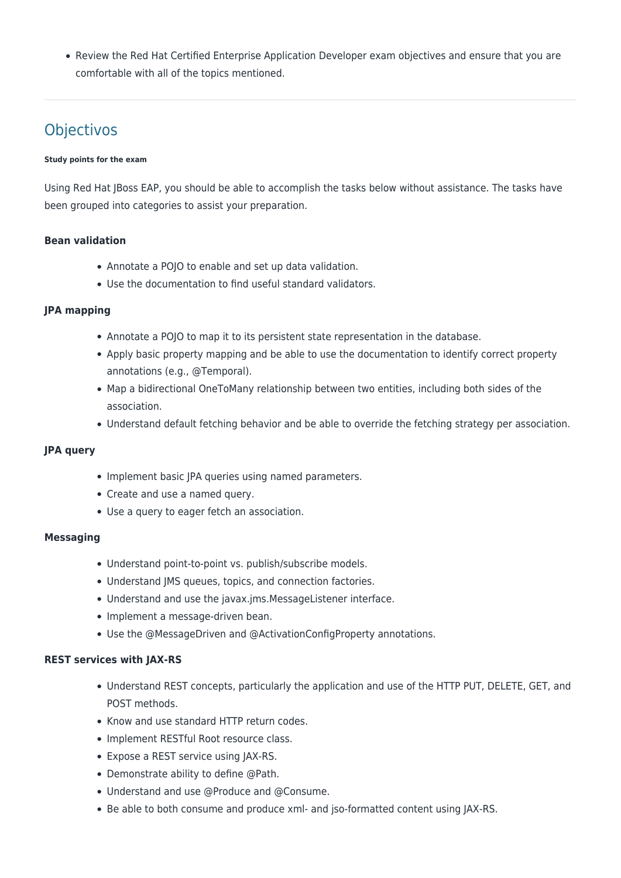Review the Red Hat Certified Enterprise Application Developer exam objectives and ensure that you are comfortable with all of the topics mentioned.

# **Objectivos**

#### **Study points for the exam**

Using Red Hat JBoss EAP, you should be able to accomplish the tasks below without assistance. The tasks have been grouped into categories to assist your preparation.

#### **Bean validation**

- Annotate a POJO to enable and set up data validation.
- Use the documentation to find useful standard validators.

#### **JPA mapping**

- Annotate a POJO to map it to its persistent state representation in the database.
- Apply basic property mapping and be able to use the documentation to identify correct property annotations (e.g., @Temporal).
- Map a bidirectional OneToMany relationship between two entities, including both sides of the association.
- Understand default fetching behavior and be able to override the fetching strategy per association.

#### **JPA query**

- Implement basic JPA queries using named parameters.
- Create and use a named query.
- Use a query to eager fetch an association.

#### **Messaging**

- Understand point-to-point vs. publish/subscribe models.
- Understand JMS queues, topics, and connection factories.
- Understand and use the javax.jms.MessageListener interface.
- Implement a message-driven bean.
- Use the @MessageDriven and @ActivationConfigProperty annotations.

#### **REST services with JAX-RS**

- Understand REST concepts, particularly the application and use of the HTTP PUT, DELETE, GET, and POST methods.
- Know and use standard HTTP return codes.
- Implement RESTful Root resource class.
- Expose a REST service using JAX-RS.
- Demonstrate ability to define @Path.
- Understand and use @Produce and @Consume.
- Be able to both consume and produce xml- and jso-formatted content using JAX-RS.